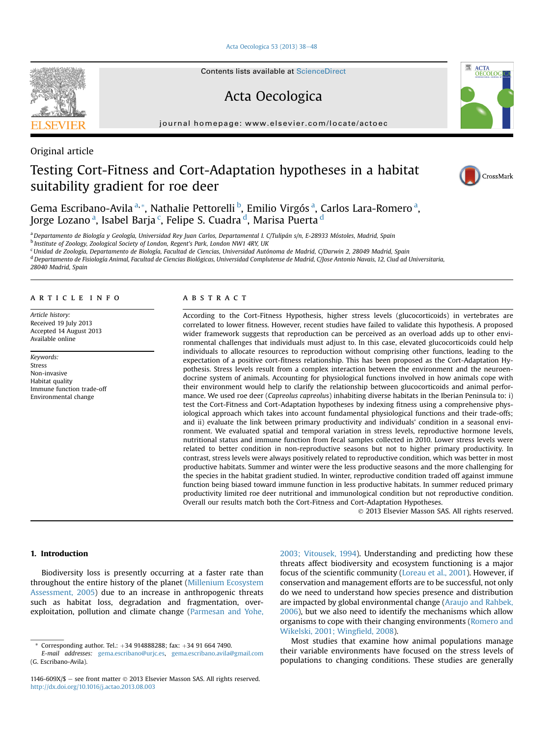[Acta Oecologica 53 \(2013\) 38](http://dx.doi.org/10.1016/j.actao.2013.08.003)-[48](http://dx.doi.org/10.1016/j.actao.2013.08.003)

Contents lists available at ScienceDirect

Acta Oecologica

journal homepage: [www.elsevier.com/locate/actoec](http://www.elsevier.com/locate/actoec)



# Testing Cort-Fitness and Cort-Adaptation hypotheses in a habitat suitability gradient for roe deer



Gema Escribano-Avila <sup>a, «</sup>, Nathalie Pettorelli <sup>b</sup>, Emilio Virgós <sup>a</sup>, Carlos Lara-Romero <sup>a</sup>, Jorge Lozano <sup>a</sup>, Isabel Barja <sup>c</sup>, Felipe S. Cuadra <sup>d</sup>, Marisa Puerta <sup>d</sup>

a Departamento de Biología y Geología, Universidad Rey Juan Carlos, Departamental I. C/Tulipán s/n, E-28933 Móstoles, Madrid, Spain

<sup>b</sup> Institute of Zoology, Zoological Society of London, Regent's Park, London NW1 4RY, UK

<sup>c</sup> Unidad de Zoología, Departamento de Biología, Facultad de Ciencias, Universidad Autónoma de Madrid, C/Darwin 2, 28049 Madrid, Spain

<sup>d</sup> Departamento de Fisiología Animal, Facultad de Ciencias Biológicas, Universidad Complutense de Madrid, C/Jose Antonio Navais, 12, Ciud ad Universitaria,

28040 Madrid, Spain

## article info

Article history: Received 19 July 2013 Accepted 14 August 2013 Available online

Keywords: Stress Non-invasive Habitat quality Immune function trade-off Environmental change

## ABSTRACT

According to the Cort-Fitness Hypothesis, higher stress levels (glucocorticoids) in vertebrates are correlated to lower fitness. However, recent studies have failed to validate this hypothesis. A proposed wider framework suggests that reproduction can be perceived as an overload adds up to other environmental challenges that individuals must adjust to. In this case, elevated glucocorticoids could help individuals to allocate resources to reproduction without comprising other functions, leading to the expectation of a positive cort-fitness relationship. This has been proposed as the Cort-Adaptation Hypothesis. Stress levels result from a complex interaction between the environment and the neuroendocrine system of animals. Accounting for physiological functions involved in how animals cope with their environment would help to clarify the relationship between glucocorticoids and animal performance. We used roe deer (Capreolus capreolus) inhabiting diverse habitats in the Iberian Peninsula to: i) test the Cort-Fitness and Cort-Adaptation hypotheses by indexing fitness using a comprehensive physiological approach which takes into account fundamental physiological functions and their trade-offs; and ii) evaluate the link between primary productivity and individuals' condition in a seasonal environment. We evaluated spatial and temporal variation in stress levels, reproductive hormone levels, nutritional status and immune function from fecal samples collected in 2010. Lower stress levels were related to better condition in non-reproductive seasons but not to higher primary productivity. In contrast, stress levels were always positively related to reproductive condition, which was better in most productive habitats. Summer and winter were the less productive seasons and the more challenging for the species in the habitat gradient studied. In winter, reproductive condition traded off against immune function being biased toward immune function in less productive habitats. In summer reduced primary productivity limited roe deer nutritional and immunological condition but not reproductive condition. Overall our results match both the Cort-Fitness and Cort-Adaptation Hypotheses.

2013 Elsevier Masson SAS. All rights reserved.

# 1. Introduction

Biodiversity loss is presently occurring at a faster rate than throughout the entire history of the planet [\(Millenium Ecosystem](#page-10-0) [Assessment, 2005](#page-10-0)) due to an increase in anthropogenic threats such as habitat loss, degradation and fragmentation, overexploitation, pollution and climate change ([Parmesan and Yohe,](#page-10-0) [2003; Vitousek, 1994\)](#page-10-0). Understanding and predicting how these threats affect biodiversity and ecosystem functioning is a major focus of the scientific community [\(Loreau et al., 2001\)](#page-10-0). However, if conservation and management efforts are to be successful, not only do we need to understand how species presence and distribution are impacted by global environmental change [\(Araujo and Rahbek,](#page-9-0) [2006](#page-9-0)), but we also need to identify the mechanisms which allow organisms to cope with their changing environments [\(Romero and](#page-10-0) [Wikelski, 2001; Wing](#page-10-0)field, 2008).

Most studies that examine how animal populations manage their variable environments have focused on the stress levels of populations to changing conditions. These studies are generally

<sup>\*</sup> Corresponding author. Tel.:  $+34$  914888288; fax:  $+34$  91 664 7490.

E-mail addresses: [gema.escribano@urjc.es](mailto:gema.escribano@urjc.es), [gema.escribano.avila@gmail.com](mailto:gema.escribano.avila@gmail.com) (G. Escribano-Avila).

<sup>1146-609</sup>X/\$  $-$  see front matter  $\odot$  2013 Elsevier Masson SAS. All rights reserved. <http://dx.doi.org/10.1016/j.actao.2013.08.003>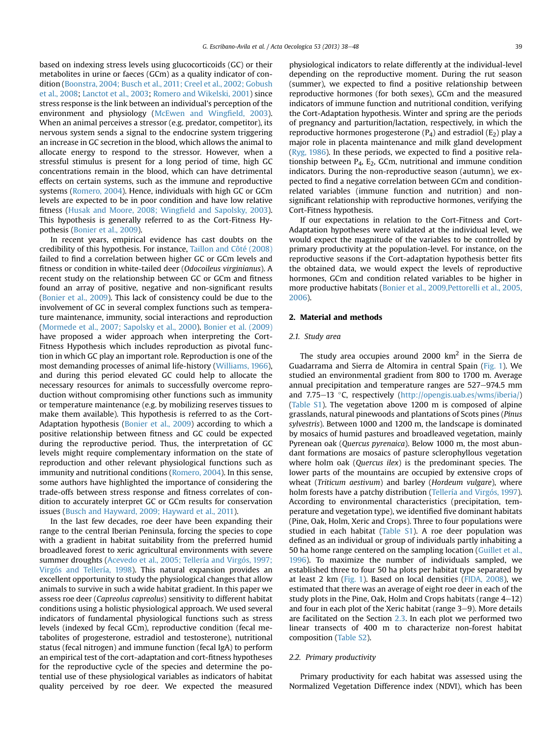based on indexing stress levels using glucocorticoids (GC) or their metabolites in urine or faeces (GCm) as a quality indicator of condition ([Boonstra, 2004; Busch et al., 2011; Creel et al., 2002; Gobush](#page-9-0) [et al., 2008;](#page-9-0) [Lanctot et al., 2003](#page-10-0); [Romero and Wikelski, 2001](#page-10-0)) since stress response is the link between an individual's perception of the environment and physiology ([McEwen and Wing](#page-10-0)field, 2003). When an animal perceives a stressor (e.g. predator, competitor), its nervous system sends a signal to the endocrine system triggering an increase in GC secretion in the blood, which allows the animal to allocate energy to respond to the stressor. However, when a stressful stimulus is present for a long period of time, high GC concentrations remain in the blood, which can have detrimental effects on certain systems, such as the immune and reproductive systems [\(Romero, 2004\)](#page-10-0). Hence, individuals with high GC or GCm levels are expected to be in poor condition and have low relative fitness ([Husak and Moore, 2008; Wing](#page-10-0)field and Sapolsky, 2003). This hypothesis is generally referred to as the Cort-Fitness Hypothesis [\(Bonier et al., 2009\)](#page-9-0).

In recent years, empirical evidence has cast doubts on the credibility of this hypothesis. For instance, [Taillon and Côté \(2008\)](#page-10-0) failed to find a correlation between higher GC or GCm levels and fitness or condition in white-tailed deer (Odocoileus virginianus). A recent study on the relationship between GC or GCm and fitness found an array of positive, negative and non-significant results ([Bonier et al., 2009](#page-9-0)). This lack of consistency could be due to the involvement of GC in several complex functions such as temperature maintenance, immunity, social interactions and reproduction ([Mormede et al., 2007; Sapolsky et al., 2000\)](#page-10-0). [Bonier et al. \(2009\)](#page-9-0) have proposed a wider approach when interpreting the Cort-Fitness Hypothesis which includes reproduction as pivotal function in which GC play an important role. Reproduction is one of the most demanding processes of animal life-history ([Williams, 1966\)](#page-10-0), and during this period elevated GC could help to allocate the necessary resources for animals to successfully overcome reproduction without compromising other functions such as immunity or temperature maintenance (e.g. by mobilizing reserves tissues to make them available). This hypothesis is referred to as the Cort-Adaptation hypothesis [\(Bonier et al., 2009\)](#page-9-0) according to which a positive relationship between fitness and GC could be expected during the reproductive period. Thus, the interpretation of GC levels might require complementary information on the state of reproduction and other relevant physiological functions such as immunity and nutritional conditions [\(Romero, 2004](#page-10-0)). In this sense, some authors have highlighted the importance of considering the trade-offs between stress response and fitness correlates of condition to accurately interpret GC or GCm results for conservation issues ([Busch and Hayward, 2009; Hayward et al., 2011](#page-9-0)).

In the last few decades, roe deer have been expanding their range to the central Iberian Peninsula, forcing the species to cope with a gradient in habitat suitability from the preferred humid broadleaved forest to xeric agricultural environments with severe summer droughts ([Acevedo et al., 2005; Tellería and Virgós, 1997;](#page-9-0) [Virgós and Tellería, 1998](#page-9-0)). This natural expansion provides an excellent opportunity to study the physiological changes that allow animals to survive in such a wide habitat gradient. In this paper we assess roe deer (Capreolus capreolus) sensitivity to different habitat conditions using a holistic physiological approach. We used several indicators of fundamental physiological functions such as stress levels (indexed by fecal GCm), reproductive condition (fecal metabolites of progesterone, estradiol and testosterone), nutritional status (fecal nitrogen) and immune function (fecal IgA) to perform an empirical test of the cort-adaptation and cort-fitness hypotheses for the reproductive cycle of the species and determine the potential use of these physiological variables as indicators of habitat quality perceived by roe deer. We expected the measured physiological indicators to relate differently at the individual-level depending on the reproductive moment. During the rut season (summer), we expected to find a positive relationship between reproductive hormones (for both sexes), GCm and the measured indicators of immune function and nutritional condition, verifying the Cort-Adaptation hypothesis. Winter and spring are the periods of pregnancy and parturition/lactation, respectively, in which the reproductive hormones progesterone  $(P_4)$  and estradiol  $(E_2)$  play a major role in placenta maintenance and milk gland development ([Ryg, 1986](#page-10-0)). In these periods, we expected to find a positive relationship between P4, E2, GCm, nutritional and immune condition indicators. During the non-reproductive season (autumn), we expected to find a negative correlation between GCm and conditionrelated variables (immune function and nutrition) and nonsignificant relationship with reproductive hormones, verifying the Cort-Fitness hypothesis.

If our expectations in relation to the Cort-Fitness and Cort-Adaptation hypotheses were validated at the individual level, we would expect the magnitude of the variables to be controlled by primary productivity at the population-level. For instance, on the reproductive seasons if the Cort-adaptation hypothesis better fits the obtained data, we would expect the levels of reproductive hormones, GCm and condition related variables to be higher in more productive habitats [\(Bonier et al., 2009,Pettorelli et al., 2005,](#page-9-0) [2006\)](#page-9-0).

## 2. Material and methods

## 2.1. Study area

The study area occupies around 2000  $km<sup>2</sup>$  in the Sierra de Guadarrama and Sierra de Altomira in central Spain [\(Fig. 1\)](#page-2-0). We studied an environmental gradient from 800 to 1700 m. Average annual precipitation and temperature ranges are  $527-974.5$  mm and 7.75–13 °C, respectively ([http://opengis.uab.es/wms/iberia/\)](http://opengis.uab.es/wms/iberia/) (Table S1). The vegetation above 1200 m is composed of alpine grasslands, natural pinewoods and plantations of Scots pines (Pinus sylvestris). Between 1000 and 1200 m, the landscape is dominated by mosaics of humid pastures and broadleaved vegetation, mainly Pyrenean oak (Quercus pyrenaica). Below 1000 m, the most abundant formations are mosaics of pasture sclerophyllous vegetation where holm oak (Quercus ilex) is the predominant species. The lower parts of the mountains are occupied by extensive crops of wheat (Triticum aestivum) and barley (Hordeum vulgare), where holm forests have a patchy distribution [\(Tellería and Virgós, 1997\)](#page-10-0). According to environmental characteristics (precipitation, temperature and vegetation type), we identified five dominant habitats (Pine, Oak, Holm, Xeric and Crops). Three to four populations were studied in each habitat (Table S1). A roe deer population was defined as an individual or group of individuals partly inhabiting a 50 ha home range centered on the sampling location [\(Guillet et al.,](#page-9-0) [1996\)](#page-9-0). To maximize the number of individuals sampled, we established three to four 50 ha plots per habitat type separated by at least 2 km ([Fig. 1](#page-2-0)). Based on local densities [\(FIDA, 2008\)](#page-9-0), we estimated that there was an average of eight roe deer in each of the study plots in the Pine, Oak, Holm and Crops habitats (range  $4-12$ ) and four in each plot of the Xeric habitat (range  $3-9$ ). More details are facilitated on the Section [2.3.](#page-2-0) In each plot we performed two linear transects of 400 m to characterize non-forest habitat composition (Table S2).

## 2.2. Primary productivity

Primary productivity for each habitat was assessed using the Normalized Vegetation Difference index (NDVI), which has been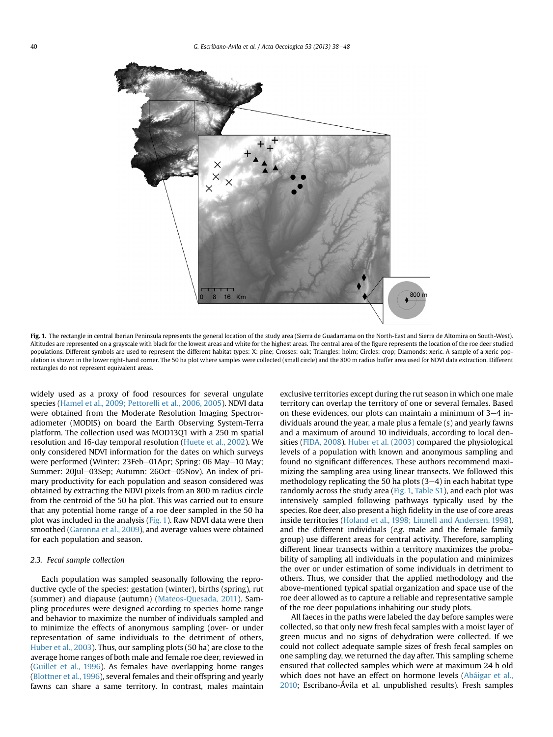<span id="page-2-0"></span>

Fig. 1. The rectangle in central Iberian Peninsula represents the general location of the study area (Sierra de Guadarrama on the North-East and Sierra de Altomira on South-West). Altitudes are represented on a grayscale with black for the lowest areas and white for the highest areas. The central area of the figure represents the location of the roe deer studied populations. Different symbols are used to represent the different habitat types: X: pine; Crosses: oak; Triangles: holm; Circles: crop; Diamonds: xeric. A sample of a xeric population is shown in the lower right-hand corner. The 50 ha plot where samples were collected (small circle) and the 800 m radius buffer area used for NDVI data extraction. Different rectangles do not represent equivalent areas.

widely used as a proxy of food resources for several ungulate species ([Hamel et al., 2009; Pettorelli et al., 2006, 2005\)](#page-9-0). NDVI data were obtained from the Moderate Resolution Imaging Spectroradiometer (MODIS) on board the Earth Observing System-Terra platform. The collection used was MOD13Q1 with a 250 m spatial resolution and 16-day temporal resolution ([Huete et al., 2002](#page-10-0)). We only considered NDVI information for the dates on which surveys were performed (Winter: 23Feb-01Apr; Spring: 06 May-10 May; Summer: 20Jul-03Sep; Autumn: 26Oct-05Nov). An index of primary productivity for each population and season considered was obtained by extracting the NDVI pixels from an 800 m radius circle from the centroid of the 50 ha plot. This was carried out to ensure that any potential home range of a roe deer sampled in the 50 ha plot was included in the analysis (Fig. 1). Raw NDVI data were then smoothed [\(Garonna et al., 2009](#page-9-0)), and average values were obtained for each population and season.

## 2.3. Fecal sample collection

Each population was sampled seasonally following the reproductive cycle of the species: gestation (winter), births (spring), rut (summer) and diapause (autumn) [\(Mateos-Quesada, 2011](#page-10-0)). Sampling procedures were designed according to species home range and behavior to maximize the number of individuals sampled and to minimize the effects of anonymous sampling (over- or under representation of same individuals to the detriment of others, [Huber et al., 2003\)](#page-10-0). Thus, our sampling plots (50 ha) are close to the average home ranges of both male and female roe deer, reviewed in ([Guillet et al., 1996](#page-9-0)). As females have overlapping home ranges ([Blottner et al., 1996](#page-9-0)), several females and their offspring and yearly fawns can share a same territory. In contrast, males maintain exclusive territories except during the rut season in which one male territory can overlap the territory of one or several females. Based on these evidences, our plots can maintain a minimum of  $3-4$  individuals around the year, a male plus a female (s) and yearly fawns and a maximum of around 10 individuals, according to local densities ([FIDA, 2008\)](#page-9-0). [Huber et al. \(2003\)](#page-10-0) compared the physiological levels of a population with known and anonymous sampling and found no significant differences. These authors recommend maximizing the sampling area using linear transects. We followed this methodology replicating the 50 ha plots  $(3-4)$  in each habitat type randomly across the study area (Fig. 1, Table S1), and each plot was intensively sampled following pathways typically used by the species. Roe deer, also present a high fidelity in the use of core areas inside territories ([Holand et al., 1998; Linnell and Andersen, 1998\)](#page-10-0), and the different individuals (e.g. male and the female family group) use different areas for central activity. Therefore, sampling different linear transects within a territory maximizes the probability of sampling all individuals in the population and minimizes the over or under estimation of some individuals in detriment to others. Thus, we consider that the applied methodology and the above-mentioned typical spatial organization and space use of the roe deer allowed as to capture a reliable and representative sample of the roe deer populations inhabiting our study plots.

All faeces in the paths were labeled the day before samples were collected, so that only new fresh fecal samples with a moist layer of green mucus and no signs of dehydration were collected. If we could not collect adequate sample sizes of fresh fecal samples on one sampling day, we returned the day after. This sampling scheme ensured that collected samples which were at maximum 24 h old which does not have an effect on hormone levels ([Abáigar et al.,](#page-9-0) [2010;](#page-9-0) Escribano-Ávila et al. unpublished results). Fresh samples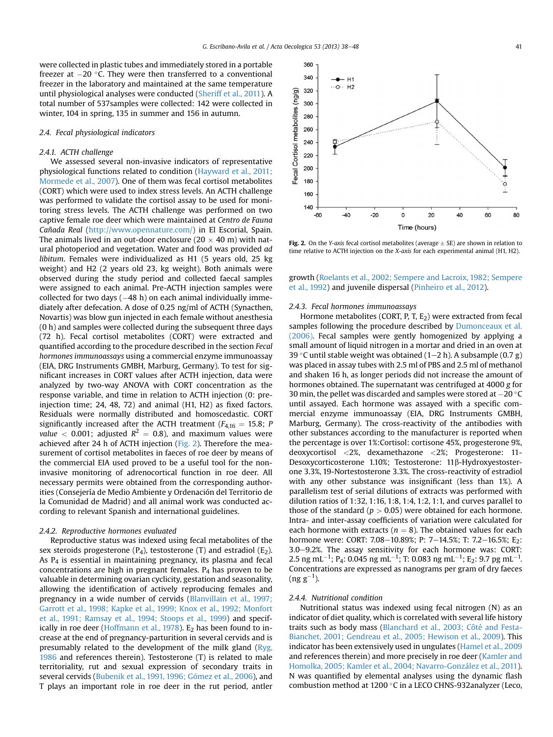were collected in plastic tubes and immediately stored in a portable freezer at  $-20$  °C. They were then transferred to a conventional freezer in the laboratory and maintained at the same temperature until physiological analyses were conducted ([Sheriff et al., 2011\)](#page-10-0). A total number of 537samples were collected: 142 were collected in winter, 104 in spring, 135 in summer and 156 in autumn.

## 2.4. Fecal physiological indicators

## 2.4.1. ACTH challenge

We assessed several non-invasive indicators of representative physiological functions related to condition [\(Hayward et al., 2011;](#page-10-0) [Mormede et al., 2007\)](#page-10-0). One of them was fecal cortisol metabolites (CORT) which were used to index stress levels. An ACTH challenge was performed to validate the cortisol assay to be used for monitoring stress levels. The ACTH challenge was performed on two captive female roe deer which were maintained at Centro de Fauna Cañada Real (<http://www.opennature.com/>) in El Escorial, Spain. The animals lived in an out-door enclosure (20  $\times$  40 m) with natural photoperiod and vegetation. Water and food was provided ad libitum. Females were individualized as H1 (5 years old, 25 kg weight) and H2 (2 years old 23, kg weight). Both animals were observed during the study period and collected faecal samples were assigned to each animal. Pre-ACTH injection samples were collected for two days  $(-48 h)$  on each animal individually immediately after defecation. A dose of 0.25 ng/ml of ACTH (Synacthen, Novartis) was blow gun injected in each female without anesthesia (0 h) and samples were collected during the subsequent three days (72 h). Fecal cortisol metabolites (CORT) were extracted and quantified according to the procedure described in the section Fecal hormones immunoassays using a commercial enzyme immunoassay (EIA, DRG Instruments GMBH, Marburg, Germany). To test for significant increases in CORT values after ACTH injection, data were analyzed by two-way ANOVA with CORT concentration as the response variable, and time in relation to ACTH injection (0: preinjection time; 24, 48, 72) and animal (H1, H2) as fixed factors. Residuals were normally distributed and homoscedastic. CORT significantly increased after the ACTH treatment ( $F_{4,16} = 15.8$ ; P *value*  $<$  0.001; adjusted  $R^2 = 0.8$ ), and maximum values were achieved after 24 h of ACTH injection (Fig. 2). Therefore the measurement of cortisol metabolites in faeces of roe deer by means of the commercial EIA used proved to be a useful tool for the noninvasive monitoring of adrenocortical function in roe deer. All necessary permits were obtained from the corresponding authorities (Consejería de Medio Ambiente y Ordenación del Territorio de la Comunidad de Madrid) and all animal work was conducted according to relevant Spanish and international guidelines.

#### 2.4.2. Reproductive hormones evaluated

Reproductive status was indexed using fecal metabolites of the sex steroids progesterone  $(P_4)$ , testosterone  $(T)$  and estradiol  $(E_2)$ . As P4 is essential in maintaining pregnancy, its plasma and fecal concentrations are high in pregnant females.  $P_4$  has proven to be valuable in determining ovarian cyclicity, gestation and seasonality, allowing the identification of actively reproducing females and pregnancy in a wide number of cervids ([Blanvillain et al., 1997;](#page-9-0) [Garrott et al., 1998; Kapke et al., 1999; Knox et al., 1992; Monfort](#page-9-0) [et al., 1991; Ramsay et al., 1994; Stoops et al., 1999](#page-9-0)) and specif-ically in roe deer [\(Hoffmann et al., 1978](#page-10-0)).  $E_2$  has been found to increase at the end of pregnancy-parturition in several cervids and is presumably related to the development of the milk gland ([Ryg,](#page-10-0) [1986](#page-10-0) and references therein). Testosterone (T) is related to male territoriality, rut and sexual expression of secondary traits in several cervids [\(Bubenik et al., 1991, 1996; Gómez et al., 2006](#page-9-0)), and T plays an important role in roe deer in the rut period, antler



Fig. 2. On the Y-axis fecal cortisol metabolites (average  $\pm$  SE) are shown in relation to time relative to ACTH injection on the X-axis for each experimental animal (H1, H2).

growth [\(Roelants et al., 2002; Sempere and Lacroix, 1982; Sempere](#page-10-0) [et al., 1992](#page-10-0)) and juvenile dispersal [\(Pinheiro et al., 2012\)](#page-10-0).

#### 2.4.3. Fecal hormones immunoassays

Hormone metabolites (CORT, P, T, E<sub>2</sub>) were extracted from fecal samples following the procedure described by [Dumonceaux et al.](#page-9-0) [\(2006\).](#page-9-0) Fecal samples were gently homogenized by applying a small amount of liquid nitrogen in a mortar and dried in an oven at 39 °C until stable weight was obtained (1–2 h). A subsample (0.7 g) was placed in assay tubes with 2.5 ml of PBS and 2.5 ml of methanol and shaken 16 h, as longer periods did not increase the amount of hormones obtained. The supernatant was centrifuged at 4000 g for 30 min, the pellet was discarded and samples were stored at  $-20$  °C until assayed. Each hormone was assayed with a specific commercial enzyme immunoassay (EIA, DRG Instruments GMBH, Marburg, Germany). The cross-reactivity of the antibodies with other substances according to the manufacturer is reported when the percentage is over 1%:Cortisol: cortisone 45%, progesterone 9%, deoxycortisol <2%, dexamethazone <2%; Progesterone: 11- Desoxycorticosterone 1.10%; Testosterone: 11β-Hydroxyestosterone 3.3%, 19-Nortestosterone 3.3%. The cross-reactivity of estradiol with any other substance was insignificant (less than 1%). A parallelism test of serial dilutions of extracts was performed with dilution ratios of 1:32, 1:16, 1:8, 1:4, 1:2, 1:1, and curves parallel to those of the standard ( $p > 0.05$ ) were obtained for each hormone. Intra- and inter-assay coefficients of variation were calculated for each hormone with extracts ( $n = 8$ ). The obtained values for each hormone were: CORT: 7.08-10.89%; P: 7-14.5%; T: 7.2-16.5%; E<sub>2</sub>: 3.0-9.2%. The assay sensitivity for each hormone was: CORT: 2.5 ng mL<sup>-1</sup>; P<sub>4</sub>: 0.045 ng mL<sup>-1</sup>; T: 0.083 ng mL<sup>-1</sup>; E<sub>2</sub>: 9.7 pg mL<sup>-1</sup>. Concentrations are expressed as nanograms per gram of dry faeces  $(\text{ng g}^{-1})$ .

#### 2.4.4. Nutritional condition

Nutritional status was indexed using fecal nitrogen (N) as an indicator of diet quality, which is correlated with several life history traits such as body mass ([Blanchard et al., 2003; Côté and Festa-](#page-9-0)[Bianchet, 2001; Gendreau et al., 2005; Hewison et al., 2009](#page-9-0)). This indicator has been extensively used in ungulates ([Hamel et al., 2009](#page-9-0) and references therein) and more precisely in roe deer [\(Kamler and](#page-10-0) [Homolka, 2005; Kamler et al., 2004; Navarro-González et al., 2011\)](#page-10-0). N was quantified by elemental analyses using the dynamic flash combustion method at 1200 °C in a LECO CHNS-932analyzer (Leco,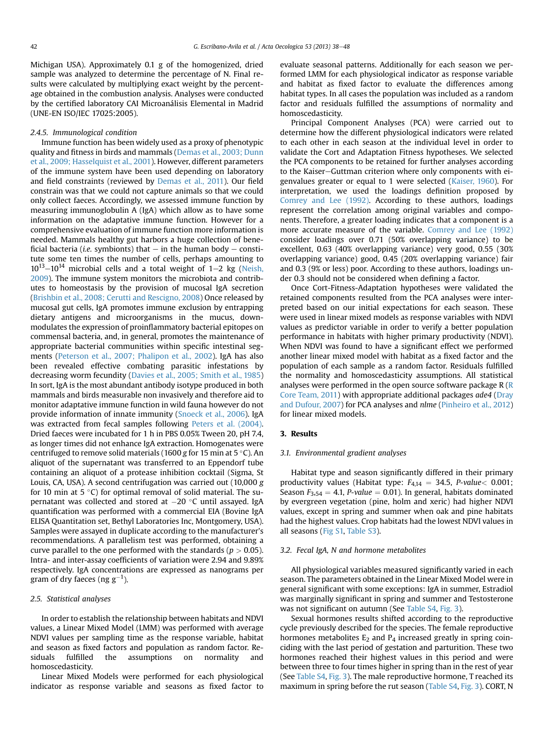Michigan USA). Approximately 0.1 g of the homogenized, dried sample was analyzed to determine the percentage of N. Final results were calculated by multiplying exact weight by the percentage obtained in the combustion analysis. Analyses were conducted by the certified laboratory CAI Microanálisis Elemental in Madrid (UNE-EN ISO/IEC 17025:2005).

#### 2.4.5. Immunological condition

Immune function has been widely used as a proxy of phenotypic quality and fitness in birds and mammals ([Demas et al., 2003; Dunn](#page-9-0) [et al., 2009; Hasselquist et al., 2001\)](#page-9-0). However, different parameters of the immune system have been used depending on laboratory and field constraints (reviewed by [Demas et al., 2011](#page-9-0)). Our field constrain was that we could not capture animals so that we could only collect faeces. Accordingly, we assessed immune function by measuring immunoglobulin A (IgA) which allow as to have some information on the adaptative immune function. However for a comprehensive evaluation of immune function more information is needed. Mammals healthy gut harbors a huge collection of beneficial bacteria (*i.e.* symbionts) that  $-$  in the human body  $-$  constitute some ten times the number of cells, perhaps amounting to  $10^{13}-10^{14}$  microbial cells and a total weight of 1-2 kg ([Neish,](#page-10-0) [2009](#page-10-0)). The immune system monitors the microbiota and contributes to homeostasis by the provision of mucosal IgA secretion ([Brishbin et al., 2008; Cerutti and Rescigno, 2008](#page-9-0)) Once released by mucosal gut cells, IgA promotes immune exclusion by entrapping dietary antigens and microorganisms in the mucus, downmodulates the expression of proinflammatory bacterial epitopes on commensal bacteria, and, in general, promotes the maintenance of appropriate bacterial communities within specific intestinal segments ([Peterson et al., 2007; Phalipon et al., 2002\)](#page-10-0). IgA has also been revealed effective combating parasitic infestations by decreasing worm fecundity ([Davies et al., 2005; Smith et al., 1985\)](#page-9-0) In sort, IgA is the most abundant antibody isotype produced in both mammals and birds measurable non invasively and therefore aid to monitor adaptative immune function in wild fauna however do not provide information of innate immunity ([Snoeck et al., 2006\)](#page-10-0). IgA was extracted from fecal samples following [Peters et al. \(2004\).](#page-10-0) Dried faeces were incubated for 1 h in PBS 0.05% Tween 20, pH 7.4, as longer times did not enhance IgA extraction. Homogenates were centrifuged to remove solid materials (1600 g for 15 min at 5 °C). An aliquot of the supernatant was transferred to an Eppendorf tube containing an aliquot of a protease inhibition cocktail (Sigma, St Louis, CA, USA). A second centrifugation was carried out (10,000 g for 10 min at 5 °C) for optimal removal of solid material. The supernatant was collected and stored at  $-20$  °C until assayed. IgA quantification was performed with a commercial EIA (Bovine IgA ELISA Quantitation set, Bethyl Laboratories Inc, Montgomery, USA). Samples were assayed in duplicate according to the manufacturer's recommendations. A parallelism test was performed, obtaining a curve parallel to the one performed with the standards ( $p > 0.05$ ). Intra- and inter-assay coefficients of variation were 2.94 and 9.89% respectively. IgA concentrations are expressed as nanograms per gram of dry faeces (ng g $^{-1}$ ).

## 2.5. Statistical analyses

In order to establish the relationship between habitats and NDVI values, a Linear Mixed Model (LMM) was performed with average NDVI values per sampling time as the response variable, habitat and season as fixed factors and population as random factor. Residuals fulfilled the assumptions on normality and homoscedasticity.

Linear Mixed Models were performed for each physiological indicator as response variable and seasons as fixed factor to evaluate seasonal patterns. Additionally for each season we performed LMM for each physiological indicator as response variable and habitat as fixed factor to evaluate the differences among habitat types. In all cases the population was included as a random factor and residuals fulfilled the assumptions of normality and homoscedasticity.

Principal Component Analyses (PCA) were carried out to determine how the different physiological indicators were related to each other in each season at the individual level in order to validate the Cort and Adaptation Fitness hypotheses. We selected the PCA components to be retained for further analyses according to the Kaiser-Guttman criterion where only components with eigenvalues greater or equal to 1 were selected ([Kaiser, 1960\)](#page-10-0). For interpretation, we used the loadings definition proposed by [Comrey and Lee \(1992\)](#page-9-0). According to these authors, loadings represent the correlation among original variables and components. Therefore, a greater loading indicates that a component is a more accurate measure of the variable. [Comrey and Lee \(1992\)](#page-9-0) consider loadings over 0.71 (50% overlapping variance) to be excellent, 0.63 (40% overlapping variance) very good, 0.55 (30% overlapping variance) good, 0.45 (20% overlapping variance) fair and 0.3 (9% or less) poor. According to these authors, loadings under 0.3 should not be considered when defining a factor.

Once Cort-Fitness-Adaptation hypotheses were validated the retained components resulted from the PCA analyses were interpreted based on our initial expectations for each season. These were used in linear mixed models as response variables with NDVI values as predictor variable in order to verify a better population performance in habitats with higher primary productivity (NDVI). When NDVI was found to have a significant effect we performed another linear mixed model with habitat as a fixed factor and the population of each sample as a random factor. Residuals fulfilled the normality and homoscedasticity assumptions. All statistical analyses were performed in the open source software package  $R(R)$  $R(R)$ [Core Team, 2011\)](#page-10-0) with appropriate additional packages ade4 [\(Dray](#page-9-0) [and Dufour, 2007](#page-9-0)) for PCA analyses and nlme ([Pinheiro et al., 2012\)](#page-10-0) for linear mixed models.

#### 3. Results

#### 3.1. Environmental gradient analyses

Habitat type and season significantly differed in their primary productivity values (Habitat type:  $F_{4,14} = 34.5$ , P-value < 0.001; Season  $F_{3,54} = 4.1$ , P-value = 0.01). In general, habitats dominated by evergreen vegetation (pine, holm and xeric) had higher NDVI values, except in spring and summer when oak and pine habitats had the highest values. Crop habitats had the lowest NDVI values in all seasons (Fig S1, Table S3).

## 3.2. Fecal IgA, N and hormone metabolites

All physiological variables measured significantly varied in each season. The parameters obtained in the Linear Mixed Model were in general significant with some exceptions: IgA in summer, Estradiol was marginally significant in spring and summer and Testosterone was not significant on autumn (See Table S4, [Fig. 3](#page-5-0)).

Sexual hormones results shifted according to the reproductive cycle previously described for the species. The female reproductive hormones metabolites  $E_2$  and  $P_4$  increased greatly in spring coinciding with the last period of gestation and parturition. These two hormones reached their highest values in this period and were between three to four times higher in spring than in the rest of year (See Table S4, [Fig. 3\)](#page-5-0). The male reproductive hormone, T reached its maximum in spring before the rut season (Table S4, [Fig. 3](#page-5-0)). CORT, N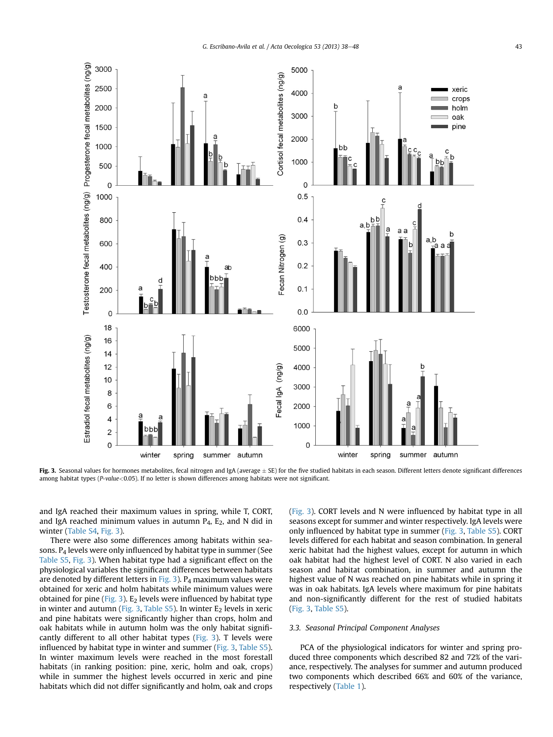<span id="page-5-0"></span>

Fig. 3. Seasonal values for hormones metabolites, fecal nitrogen and IgA (average  $\pm$  SE) for the five studied habitats in each season. Different letters denote significant differences among habitat types (P-value<0.05). If no letter is shown differences among habitats were not significant.

and IgA reached their maximum values in spring, while T, CORT, and IgA reached minimum values in autumn  $P_4$ ,  $E_2$ , and N did in winter (Table S4, Fig. 3).

There were also some differences among habitats within seasons. P4 levels were only influenced by habitat type in summer (See Table S5, Fig. 3). When habitat type had a significant effect on the physiological variables the significant differences between habitats are denoted by different letters in Fig. 3).  $P_4$  maximum values were obtained for xeric and holm habitats while minimum values were obtained for pine (Fig. 3).  $E_2$  levels were influenced by habitat type in winter and autumn (Fig. 3, Table S5). In winter  $E_2$  levels in xeric and pine habitats were significantly higher than crops, holm and oak habitats while in autumn holm was the only habitat significantly different to all other habitat types ( $Fig. 3$ ). T levels were influenced by habitat type in winter and summer (Fig. 3, Table S5). In winter maximum levels were reached in the most forestall habitats (in ranking position: pine, xeric, holm and oak, crops) while in summer the highest levels occurred in xeric and pine habitats which did not differ significantly and holm, oak and crops (Fig. 3). CORT levels and N were influenced by habitat type in all seasons except for summer and winter respectively. IgA levels were only influenced by habitat type in summer (Fig. 3, Table S5). CORT levels differed for each habitat and season combination. In general xeric habitat had the highest values, except for autumn in which oak habitat had the highest level of CORT. N also varied in each season and habitat combination, in summer and autumn the highest value of N was reached on pine habitats while in spring it was in oak habitats. IgA levels where maximum for pine habitats and non-significantly different for the rest of studied habitats (Fig. 3, Table S5).

## 3.3. Seasonal Principal Component Analyses

PCA of the physiological indicators for winter and spring produced three components which described 82 and 72% of the variance, respectively. The analyses for summer and autumn produced two components which described 66% and 60% of the variance, respectively [\(Table 1](#page-6-0)).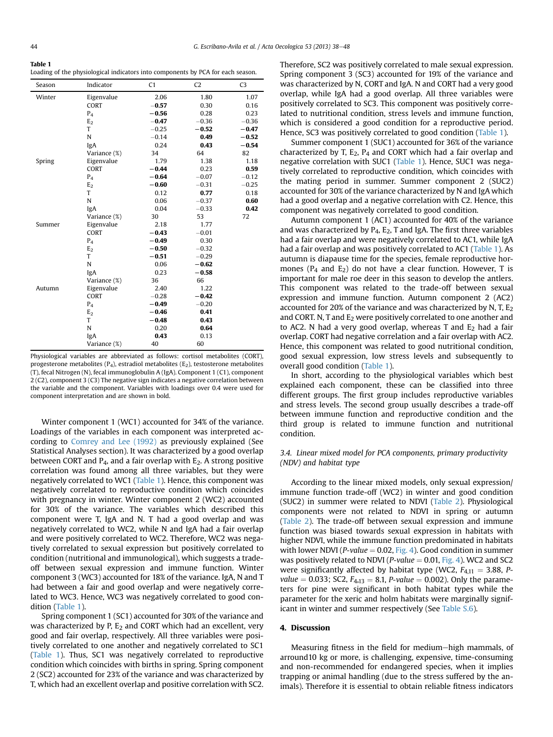<span id="page-6-0"></span>

| $\sim$<br>×<br>. .<br>٧ |
|-------------------------|
|-------------------------|

Loading of the physiological indicators into components by PCA for each season.

| Season | Indicator      | C1      | C <sub>2</sub> | C <sub>3</sub> |
|--------|----------------|---------|----------------|----------------|
| Winter | Eigenvalue     | 2.06    | 1.80           | 1.07           |
|        | <b>CORT</b>    | $-0.57$ | 0.30           | 0.16           |
|        | $P_4$          | $-0.56$ | 0.28           | 0.23           |
|        | E <sub>2</sub> | $-0.47$ | $-0.36$        | $-0.36$        |
|        | T              | $-0.25$ | $-0.52$        | $-0.47$        |
|        | N              | $-0.14$ | 0.49           | $-0.52$        |
|        | IgA            | 0.24    | 0.43           | $-0.54$        |
|        | Variance (%)   | 34      | 64             | 82             |
| Spring | Eigenvalue     | 1.79    | 1.38           | 1.18           |
|        | <b>CORT</b>    | $-0.44$ | 0.23           | 0.59           |
|        | $P_4$          | $-0.64$ | $-0.07$        | $-0.12$        |
|        | E <sub>2</sub> | $-0.60$ | $-0.31$        | $-0.25$        |
|        | T              | 0.12    | 0.77           | 0.18           |
|        | N              | 0.06    | $-0.37$        | 0.60           |
|        | IgA            | 0.04    | $-0.33$        | 0.42           |
|        | Variance (%)   | 30      | 53             | 72             |
| Summer | Eigenvalue     | 2.18    | 1.77           |                |
|        | <b>CORT</b>    | $-0.43$ | $-0.01$        |                |
|        | $P_4$          | $-0.49$ | 0.30           |                |
|        | E <sub>2</sub> | $-0.50$ | $-0.32$        |                |
|        | T              | $-0.51$ | $-0.29$        |                |
|        | N              | 0.06    | $-0.62$        |                |
|        | IgA            | 0.23    | $-0.58$        |                |
|        | Variance (%)   | 36      | 66             |                |
| Autumn | Eigenvalue     | 2.40    | 1.22           |                |
|        | <b>CORT</b>    | $-0.28$ | $-0.42$        |                |
|        | $P_4$          | $-0.49$ | $-0.20$        |                |
|        | E <sub>2</sub> | $-0.46$ | 0.41           |                |
|        | T              | $-0.48$ | 0.43           |                |
|        | N              | 0.20    | 0.64           |                |
|        | IgA            | 0.43    | 0.13           |                |
|        | Variance (%)   | 40      | 60             |                |

Physiological variables are abbreviated as follows: cortisol metabolites (CORT), progesterone metabolites ( $P_4$ ), estradiol metabolites ( $E_2$ ), testosterone metabolites (T), fecal Nitrogen (N), fecal immunoglobulin A (IgA). Component 1 (C1), component 2 (C2), component 3 (C3) The negative sign indicates a negative correlation between the variable and the component. Variables with loadings over 0.4 were used for component interpretation and are shown in bold.

Winter component 1 (WC1) accounted for 34% of the variance. Loadings of the variables in each component was interpreted according to [Comrey and Lee \(1992\)](#page-9-0) as previously explained (See Statistical Analyses section). It was characterized by a good overlap between CORT and  $P_4$ , and a fair overlap with  $E_2$ . A strong positive correlation was found among all three variables, but they were negatively correlated to WC1 (Table 1). Hence, this component was negatively correlated to reproductive condition which coincides with pregnancy in winter. Winter component 2 (WC2) accounted for 30% of the variance. The variables which described this component were T, IgA and N. T had a good overlap and was negatively correlated to WC2, while N and IgA had a fair overlap and were positively correlated to WC2. Therefore, WC2 was negatively correlated to sexual expression but positively correlated to condition (nutritional and immunological), which suggests a tradeoff between sexual expression and immune function. Winter component 3 (WC3) accounted for 18% of the variance. IgA, N and T had between a fair and good overlap and were negatively correlated to WC3. Hence, WC3 was negatively correlated to good condition (Table 1).

Spring component 1 (SC1) accounted for 30% of the variance and was characterized by P,  $E_2$  and CORT which had an excellent, very good and fair overlap, respectively. All three variables were positively correlated to one another and negatively correlated to SC1 (Table 1). Thus, SC1 was negatively correlated to reproductive condition which coincides with births in spring. Spring component 2 (SC2) accounted for 23% of the variance and was characterized by T, which had an excellent overlap and positive correlation with SC2. Therefore, SC2 was positively correlated to male sexual expression. Spring component 3 (SC3) accounted for 19% of the variance and was characterized by N, CORT and IgA. N and CORT had a very good overlap, while IgA had a good overlap. All three variables were positively correlated to SC3. This component was positively correlated to nutritional condition, stress levels and immune function, which is considered a good condition for a reproductive period. Hence, SC3 was positively correlated to good condition (Table 1).

Summer component 1 (SUC1) accounted for 36% of the variance characterized by T,  $E_2$ ,  $P_4$  and CORT which had a fair overlap and negative correlation with SUC1 (Table 1). Hence, SUC1 was negatively correlated to reproductive condition, which coincides with the mating period in summer. Summer component 2 (SUC2) accounted for 30% of the variance characterized by N and IgA which had a good overlap and a negative correlation with C2. Hence, this component was negatively correlated to good condition.

Autumn component 1 (AC1) accounted for 40% of the variance and was characterized by  $P_4$ ,  $E_2$ , T and IgA. The first three variables had a fair overlap and were negatively correlated to AC1, while IgA had a fair overlap and was positively correlated to AC1 (Table 1). As autumn is diapause time for the species, female reproductive hormones ( $P_4$  and  $E_2$ ) do not have a clear function. However, T is important for male roe deer in this season to develop the antlers. This component was related to the trade-off between sexual expression and immune function. Autumn component 2 (AC2) accounted for 20% of the variance and was characterized by N, T,  $E_2$ and CORT. N, T and  $E_2$  were positively correlated to one another and to AC2. N had a very good overlap, whereas T and  $E_2$  had a fair overlap. CORT had negative correlation and a fair overlap with AC2. Hence, this component was related to good nutritional condition, good sexual expression, low stress levels and subsequently to overall good condition (Table 1).

In short, according to the physiological variables which best explained each component, these can be classified into three different groups. The first group includes reproductive variables and stress levels. The second group usually describes a trade-off between immune function and reproductive condition and the third group is related to immune function and nutritional condition.

## 3.4. Linear mixed model for PCA components, primary productivity (NDV) and habitat type

According to the linear mixed models, only sexual expression/ immune function trade-off (WC2) in winter and good condition (SUC2) in summer were related to NDVI [\(Table 2](#page-7-0)). Physiological components were not related to NDVI in spring or autumn ([Table 2\)](#page-7-0). The trade-off between sexual expression and immune function was biased towards sexual expression in habitats with higher NDVI, while the immune function predominated in habitats with lower NDVI (*P-value* = 0.02, [Fig. 4\)](#page-7-0). Good condition in summer was positively related to NDVI (*P-value* = 0.01, [Fig. 4\)](#page-7-0). WC2 and SC2 were significantly affected by habitat type (WC2,  $F_{4,11} = 3.88$ , P*value* = 0.033; SC2,  $F_{4,13} = 8.1$ , *P-value* = 0.002). Only the parameters for pine were significant in both habitat types while the parameter for the xeric and holm habitats were marginally significant in winter and summer respectively (See Table S.6).

#### 4. Discussion

Measuring fitness in the field for medium-high mammals, of arround10 kg or more, is challenging, expensive, time-consuming and non-recommended for endangered species, when it implies trapping or animal handling (due to the stress suffered by the animals). Therefore it is essential to obtain reliable fitness indicators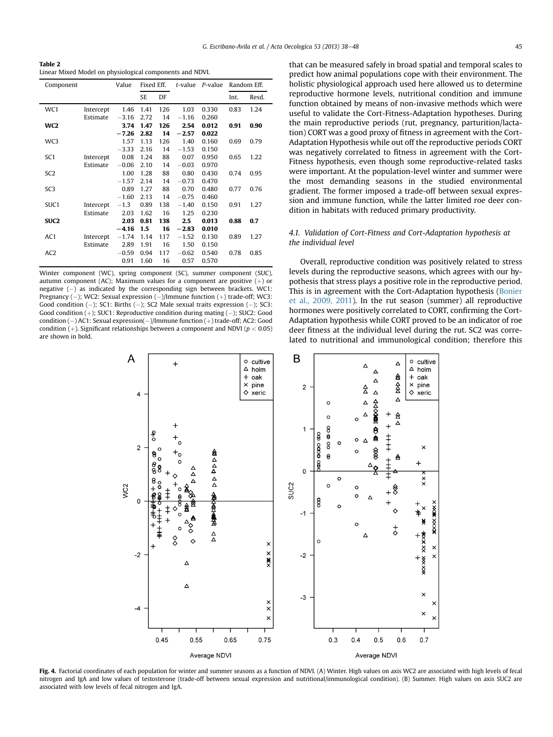<span id="page-7-0"></span>Table 2 Linear Mixed Model on physiological components and NDVI.

| Component        |           | Value   | Fixed Eff. |     | t-value | P-value | Random Eff. |       |
|------------------|-----------|---------|------------|-----|---------|---------|-------------|-------|
|                  |           |         | <b>SE</b>  | DF  |         |         | Int.        | Resd. |
| WC1              | Intercept | 1.46    | 1.41       | 126 | 1.03    | 0.330   | 0.83        | 1.24  |
|                  | Estimate  | $-3.16$ | 2.72       | 14  | $-1.16$ | 0.260   |             |       |
| WC <sub>2</sub>  |           | 3.74    | 1.47       | 126 | 2.54    | 0.012   | 0.91        | 0.90  |
|                  |           | $-7.26$ | 2.82       | 14  | $-2.57$ | 0.022   |             |       |
| WC3              |           | 1.57    | 1.13       | 126 | 1.40    | 0.160   | 0.69        | 0.79  |
|                  |           | $-3.33$ | 2.16       | 14  | $-1.53$ | 0.150   |             |       |
| SC <sub>1</sub>  | Intercept | 0.08    | 1.24       | 88  | 0.07    | 0.950   | 0.65        | 1.22  |
|                  | Estimate  | $-0.06$ | 2.10       | 14  | $-0.03$ | 0.970   |             |       |
| SC <sub>2</sub>  |           | 1.00    | 1.28       | 88  | 0.80    | 0.430   | 0.74        | 0.95  |
|                  |           | $-1.57$ | 2.14       | 14  | $-0.73$ | 0.470   |             |       |
| SC <sub>3</sub>  |           | 0.89    | 1.27       | 88  | 0.70    | 0.480   | 0.77        | 0.76  |
|                  |           | $-1.60$ | 2.13       | 14  | $-0.75$ | 0.460   |             |       |
| SUC1             | Intercept | $-1.3$  | 0.89       | 138 | $-1.40$ | 0.150   | 0.91        | 1.27  |
|                  | Estimate  | 2.03    | 1.62       | 16  | 1.25    | 0.230   |             |       |
| SUC <sub>2</sub> |           | 2.03    | 0.81       | 138 | 2.5     | 0.013   | 0.88        | 0.7   |
|                  |           | $-4.16$ | 1.5        | 16  | $-2.83$ | 0.010   |             |       |
| AC1              | Intercept | $-1.74$ | 1.14       | 117 | $-1.52$ | 0.130   | 0.89        | 1.27  |
|                  | Estimate  | 2.89    | 1.91       | 16  | 1.50    | 0.150   |             |       |
| AC <sub>2</sub>  |           | $-0.59$ | 0.94       | 117 | $-0.62$ | 0.540   | 0.78        | 0.85  |
|                  |           | 0.91    | 1.60       | 16  | 0.57    | 0.570   |             |       |

Winter component (WC), spring component (SC), summer component (SUC), autumn component (AC); Maximum values for a component are positive  $(+)$  or negative  $(-)$  as indicated by the corresponding sign between brackets. WC1: Pregnancy (-); WC2: Sexual expression (-)/Immune function (+) trade-off; WC3: Good condition  $(-)$ ; SC1: Births  $(-)$ ; SC2 Male sexual traits expression  $(-)$ ; SC3: Good condition  $(+)$ ; SUC1: Reproductive condition during mating  $(-)$ ; SUC2: Good condition  $(-)$  AC1: Sexual expression $(-)/$ Immune function  $(+)$  trade-off; AC2: Good condition (+). Significant relationships between a component and NDVI ( $p < 0.05$ ) are shown in bold.

that can be measured safely in broad spatial and temporal scales to predict how animal populations cope with their environment. The holistic physiological approach used here allowed us to determine reproductive hormone levels, nutritional condition and immune function obtained by means of non-invasive methods which were useful to validate the Cort-Fitness-Adaptation hypotheses. During the main reproductive periods (rut, pregnancy, parturition/lactation) CORT was a good proxy of fitness in agreement with the Cort-Adaptation Hypothesis while out off the reproductive periods CORT was negatively correlated to fitness in agreement with the Cort-Fitness hypothesis, even though some reproductive-related tasks were important. At the population-level winter and summer were the most demanding seasons in the studied environmental gradient. The former imposed a trade-off between sexual expression and immune function, while the latter limited roe deer condition in habitats with reduced primary productivity.

## 4.1. Validation of Cort-Fitness and Cort-Adaptation hypothesis at the individual level

Overall, reproductive condition was positively related to stress levels during the reproductive seasons, which agrees with our hypothesis that stress plays a positive role in the reproductive period. This is in agreement with the Cort-Adaptation hypothesis ([Bonier](#page-9-0) [et al., 2009, 2011\)](#page-9-0). In the rut season (summer) all reproductive hormones were positively correlated to CORT, confirming the Cort-Adaptation hypothesis while CORT proved to be an indicator of roe deer fitness at the individual level during the rut. SC2 was correlated to nutritional and immunological condition; therefore this



Fig. 4. Factorial coordinates of each population for winter and summer seasons as a function of NDVI. (A) Winter. High values on axis WC2 are associated with high levels of fecal nitrogen and IgA and low values of testosterone (trade-off between sexual expression and nutritional/immunological condition). (B) Summer. High values on axis SUC2 are associated with low levels of fecal nitrogen and IgA.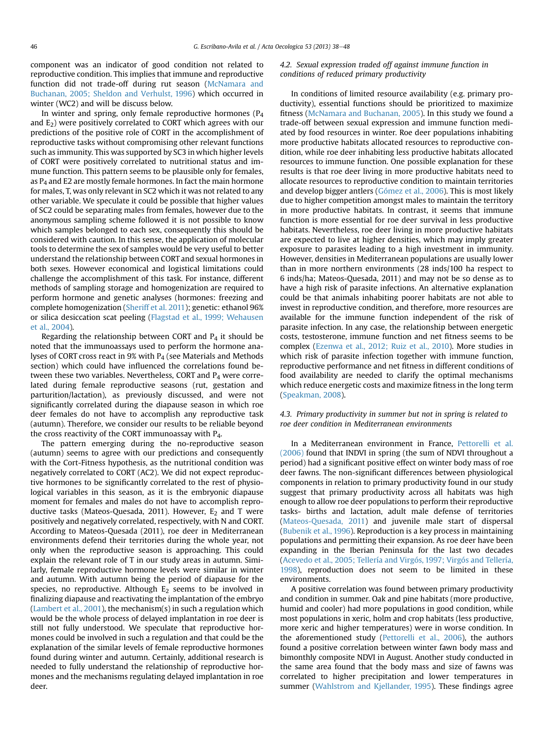component was an indicator of good condition not related to reproductive condition. This implies that immune and reproductive function did not trade-off during rut season [\(McNamara and](#page-10-0) [Buchanan, 2005; Sheldon and Verhulst, 1996\)](#page-10-0) which occurred in winter (WC2) and will be discuss below.

In winter and spring, only female reproductive hormones  $(P_4)$ and  $E_2$ ) were positively correlated to CORT which agrees with our predictions of the positive role of CORT in the accomplishment of reproductive tasks without compromising other relevant functions such as immunity. This was supported by SC3 in which higher levels of CORT were positively correlated to nutritional status and immune function. This pattern seems to be plausible only for females, as  $P_4$  and E2 are mostly female hormones. In fact the main hormone for males, T, was only relevant in SC2 which it was not related to any other variable. We speculate it could be possible that higher values of SC2 could be separating males from females, however due to the anonymous sampling scheme followed it is not possible to know which samples belonged to each sex, consequently this should be considered with caution. In this sense, the application of molecular tools to determine the sex of samples would be very useful to better understand the relationship between CORT and sexual hormones in both sexes. However economical and logistical limitations could challenge the accomplishment of this task. For instance, different methods of sampling storage and homogenization are required to perform hormone and genetic analyses (hormones: freezing and complete homogenization ([Sheriff et al. 2011](#page-10-0)); genetic: ethanol 96% or silica desiccation scat peeling ([Flagstad et al., 1999; Wehausen](#page-9-0) [et al., 2004\)](#page-9-0).

Regarding the relationship between CORT and  $P_4$  it should be noted that the immunoassays used to perform the hormone analyses of CORT cross react in 9% with P4 (see Materials and Methods section) which could have influenced the correlations found between these two variables. Nevertheless, CORT and  $P_4$  were correlated during female reproductive seasons (rut, gestation and parturition/lactation), as previously discussed, and were not significantly correlated during the diapause season in which roe deer females do not have to accomplish any reproductive task (autumn). Therefore, we consider our results to be reliable beyond the cross reactivity of the CORT immunoassay with P4.

The pattern emerging during the no-reproductive season (autumn) seems to agree with our predictions and consequently with the Cort-Fitness hypothesis, as the nutritional condition was negatively correlated to CORT (AC2). We did not expect reproductive hormones to be significantly correlated to the rest of physiological variables in this season, as it is the embryonic diapause moment for females and males do not have to accomplish reproductive tasks (Mateos-Quesada, 2011). However,  $E_2$  and T were positively and negatively correlated, respectively, with N and CORT. According to Mateos-Quesada (2011), roe deer in Mediterranean environments defend their territories during the whole year, not only when the reproductive season is approaching. This could explain the relevant role of T in our study areas in autumn. Similarly, female reproductive hormone levels were similar in winter and autumn. With autumn being the period of diapause for the species, no reproductive. Although  $E_2$  seems to be involved in finalizing diapause and reactivating the implantation of the embryo ([Lambert et al., 2001](#page-10-0)), the mechanism(s) in such a regulation which would be the whole process of delayed implantation in roe deer is still not fully understood. We speculate that reproductive hormones could be involved in such a regulation and that could be the explanation of the similar levels of female reproductive hormones found during winter and autumn. Certainly, additional research is needed to fully understand the relationship of reproductive hormones and the mechanisms regulating delayed implantation in roe deer.

## 4.2. Sexual expression traded off against immune function in conditions of reduced primary productivity

In conditions of limited resource availability (e.g. primary productivity), essential functions should be prioritized to maximize fitness ([McNamara and Buchanan, 2005\)](#page-10-0). In this study we found a trade-off between sexual expression and immune function mediated by food resources in winter. Roe deer populations inhabiting more productive habitats allocated resources to reproductive condition, while roe deer inhabiting less productive habitats allocated resources to immune function. One possible explanation for these results is that roe deer living in more productive habitats need to allocate resources to reproductive condition to maintain territories and develop bigger antlers ([Gómez et al., 2006\)](#page-9-0). This is most likely due to higher competition amongst males to maintain the territory in more productive habitats. In contrast, it seems that immune function is more essential for roe deer survival in less productive habitats. Nevertheless, roe deer living in more productive habitats are expected to live at higher densities, which may imply greater exposure to parasites leading to a high investment in immunity. However, densities in Mediterranean populations are usually lower than in more northern environments (28 inds/100 ha respect to 6 inds/ha; Mateos-Quesada, 2011) and may not be so dense as to have a high risk of parasite infections. An alternative explanation could be that animals inhabiting poorer habitats are not able to invest in reproductive condition, and therefore, more resources are available for the immune function independent of the risk of parasite infection. In any case, the relationship between energetic costs, testosterone, immune function and net fitness seems to be complex [\(Ezenwa et al., 2012; Ruiz et al., 2010\)](#page-9-0). More studies in which risk of parasite infection together with immune function, reproductive performance and net fitness in different conditions of food availability are needed to clarify the optimal mechanisms which reduce energetic costs and maximize fitness in the long term ([Speakman, 2008\)](#page-10-0).

## 4.3. Primary productivity in summer but not in spring is related to roe deer condition in Mediterranean environments

In a Mediterranean environment in France, [Pettorelli et al.](#page-10-0) [\(2006\)](#page-10-0) found that INDVI in spring (the sum of NDVI throughout a period) had a significant positive effect on winter body mass of roe deer fawns. The non-significant differences between physiological components in relation to primary productivity found in our study suggest that primary productivity across all habitats was high enough to allow roe deer populations to perform their reproductive tasks- births and lactation, adult male defense of territories ([Mateos-Quesada, 2011](#page-10-0)) and juvenile male start of dispersal ([Bubenik et al., 1996\)](#page-9-0). Reproduction is a key process in maintaining populations and permitting their expansion. As roe deer have been expanding in the Iberian Peninsula for the last two decades ([Acevedo et al., 2005; Tellería and Virgós, 1997; Virgós and Tellería,](#page-9-0) [1998](#page-9-0)), reproduction does not seem to be limited in these environments.

A positive correlation was found between primary productivity and condition in summer. Oak and pine habitats (more productive, humid and cooler) had more populations in good condition, while most populations in xeric, holm and crop habitats (less productive, more xeric and higher temperatures) were in worse condition. In the aforementioned study [\(Pettorelli et al., 2006\)](#page-10-0), the authors found a positive correlation between winter fawn body mass and bimonthly composite NDVI in August. Another study conducted in the same area found that the body mass and size of fawns was correlated to higher precipitation and lower temperatures in summer ([Wahlstrom and Kjellander, 1995\)](#page-10-0). These findings agree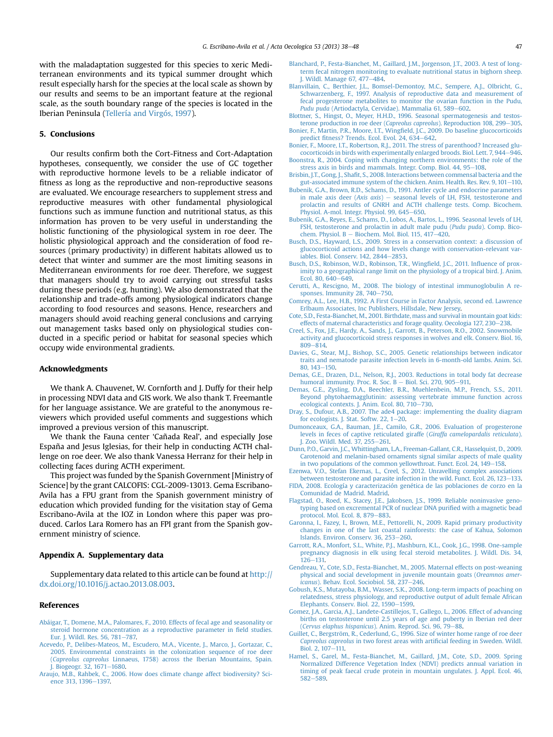<span id="page-9-0"></span>with the maladaptation suggested for this species to xeric Mediterranean environments and its typical summer drought which result especially harsh for the species at the local scale as shown by our results and seems to be an important feature at the regional scale, as the south boundary range of the species is located in the Iberian Peninsula ([Tellería and Virgós, 1997](#page-10-0)).

## 5. Conclusions

Our results confirm both the Cort-Fitness and Cort-Adaptation hypotheses, consequently, we consider the use of GC together with reproductive hormone levels to be a reliable indicator of fitness as long as the reproductive and non-reproductive seasons are evaluated. We encourage researchers to supplement stress and reproductive measures with other fundamental physiological functions such as immune function and nutritional status, as this information has proven to be very useful in understanding the holistic functioning of the physiological system in roe deer. The holistic physiological approach and the consideration of food resources (primary productivity) in different habitats allowed us to detect that winter and summer are the most limiting seasons in Mediterranean environments for roe deer. Therefore, we suggest that managers should try to avoid carrying out stressful tasks during these periods (e.g. hunting). We also demonstrated that the relationship and trade-offs among physiological indicators change according to food resources and seasons. Hence, researchers and managers should avoid reaching general conclusions and carrying out management tasks based only on physiological studies conducted in a specific period or habitat for seasonal species which occupy wide environmental gradients.

#### Acknowledgments

We thank A. Chauvenet, W. Cornforth and J. Duffy for their help in processing NDVI data and GIS work. We also thank T. Freemantle for her language assistance. We are grateful to the anonymous reviewers which provided useful comments and suggestions which improved a previous version of this manuscript.

We thank the Fauna center 'Cañada Real', and especially Jose España and Jesus Iglesias, for their help in conducting ACTH challenge on roe deer. We also thank Vanessa Herranz for their help in collecting faces during ACTH experiment.

This project was funded by the Spanish Government [Ministry of Science] by the grant CALCOFIS: CGL-2009-13013. Gema Escribano-Avila has a FPU grant from the Spanish government ministry of education which provided funding for the visitation stay of Gema Escribano-Avila at the IOZ in London where this paper was produced. Carlos Lara Romero has an FPI grant from the Spanish government ministry of science.

### Appendix A. Supplementary data

Supplementary data related to this article can be found at [http://](http://dx.doi.org/10.1016/j.actao.2013.08.003) [dx.doi.org/10.1016/j.actao.2013.08.003](http://dx.doi.org/10.1016/j.actao.2013.08.003).

## References

- [Abáigar, T., Domene, M.A., Palomares, F., 2010. Effects of fecal age and seasonality or](http://refhub.elsevier.com/S1146-609X(13)00127-6/sref1) [steroid hormone concentration as a reproductive parameter in](http://refhub.elsevier.com/S1146-609X(13)00127-6/sref1) field studies. Eur. I. Wildl. Res. 56, 781-[787.](http://refhub.elsevier.com/S1146-609X(13)00127-6/sref1)
- [Acevedo, P., Delibes-Mateos, M., Escudero, M.A., Vicente, J., Marco, J., Gortazar, C.,](http://refhub.elsevier.com/S1146-609X(13)00127-6/sref2) [2005. Environmental constraints in the colonization sequence of roe deer](http://refhub.elsevier.com/S1146-609X(13)00127-6/sref2) (Capreolus capreolus [Linnaeus, 1758\) across the Iberian Mountains, Spain.](http://refhub.elsevier.com/S1146-609X(13)00127-6/sref2) [J. Biogeogr. 32, 1671](http://refhub.elsevier.com/S1146-609X(13)00127-6/sref2)-[1680.](http://refhub.elsevier.com/S1146-609X(13)00127-6/sref2)
- [Araujo, M.B., Rahbek, C., 2006. How does climate change affect biodiversity? Sci](http://refhub.elsevier.com/S1146-609X(13)00127-6/sref3)[ence 313, 1396](http://refhub.elsevier.com/S1146-609X(13)00127-6/sref3)-[1397.](http://refhub.elsevier.com/S1146-609X(13)00127-6/sref3)
- [Blanchard, P., Festa-Bianchet, M., Gaillard, J.M., Jorgenson, J.T., 2003. A test of long](http://refhub.elsevier.com/S1146-609X(13)00127-6/sref4)[term fecal nitrogen monitoring to evaluate nutritional status in bighorn sheep.](http://refhub.elsevier.com/S1146-609X(13)00127-6/sref4) I. Wildl. Manage 67, 477-[484](http://refhub.elsevier.com/S1146-609X(13)00127-6/sref4).
- [Blanvillain, C., Berthier, J.L., Bomsel-Demontoy, M.C., Sempere, A.J., Olbricht, G.,](http://refhub.elsevier.com/S1146-609X(13)00127-6/sref5) [Schwarzenberg, F., 1997. Analysis of reproductive data and measurement of](http://refhub.elsevier.com/S1146-609X(13)00127-6/sref5) [fecal progesterone metabolites to monitor the ovarian function in the Pudu,](http://refhub.elsevier.com/S1146-609X(13)00127-6/sref5) Pudu puda [\(Artiodactyla, Cervidae\). Mammalia 61, 589](http://refhub.elsevier.com/S1146-609X(13)00127-6/sref5)-[602.](http://refhub.elsevier.com/S1146-609X(13)00127-6/sref5)
- [Blottner, S., Hingst, O., Meyer, H.H.D., 1996. Seasonal spermatogenesis and testos](http://refhub.elsevier.com/S1146-609X(13)00127-6/sref6)[terone production in roe deer \(](http://refhub.elsevier.com/S1146-609X(13)00127-6/sref6)Capreolus capreolus). Reproduction 108, 299-[305](http://refhub.elsevier.com/S1146-609X(13)00127-6/sref6). Bonier, F., Martin, P.R., Moore, I.T., Wingfi[eld, J.C., 2009. Do baseline glucocorticoids](http://refhub.elsevier.com/S1146-609X(13)00127-6/sref7)
- predict fi[tness? Trends. Ecol. Evol. 24, 634](http://refhub.elsevier.com/S1146-609X(13)00127-6/sref7)-[642.](http://refhub.elsevier.com/S1146-609X(13)00127-6/sref7) [Bonier, F., Moore, I.T., Robertson, R.J., 2011. The stress of parenthood? Increased glu-](http://refhub.elsevier.com/S1146-609X(13)00127-6/sref8)
- [cocorticoids in birds with experimentally enlarged broods. Biol. Lett. 7, 944](http://refhub.elsevier.com/S1146-609X(13)00127-6/sref8)-[946](http://refhub.elsevier.com/S1146-609X(13)00127-6/sref8). [Boonstra, R., 2004. Coping with changing northern environments: the role of the](http://refhub.elsevier.com/S1146-609X(13)00127-6/sref9) [stress axis in birds and mammals. Integr. Comp. Biol. 44, 95](http://refhub.elsevier.com/S1146-609X(13)00127-6/sref9)-[108](http://refhub.elsevier.com/S1146-609X(13)00127-6/sref9).
- Brisbin, J.T., Gong, J., Shafi[t, S., 2008. Interactions between commensal bacteria and the](http://refhub.elsevier.com/S1146-609X(13)00127-6/sref10) [gut-associated immune system of the chicken. Anim. Health. Res. Rev. 9, 101](http://refhub.elsevier.com/S1146-609X(13)00127-6/sref10)-[110](http://refhub.elsevier.com/S1146-609X(13)00127-6/sref10).
- [Bubenik, G.A., Brown, R.D., Schams, D., 1991. Antler cycle and endocrine parameters](http://refhub.elsevier.com/S1146-609X(13)00127-6/sref11) in male axis deer  $(Axis \, axis)$  – [seasonal levels of LH, FSH, testosterone and](http://refhub.elsevier.com/S1146-609X(13)00127-6/sref11) [prolactin and results of GNRH and ACTH challenge tests. Comp. Bicochem.](http://refhub.elsevier.com/S1146-609X(13)00127-6/sref11) [Physiol. A-mol. Integr. Physiol. 99, 645](http://refhub.elsevier.com/S1146-609X(13)00127-6/sref11)-[650](http://refhub.elsevier.com/S1146-609X(13)00127-6/sref11).
- [Bubenik, G.A., Reyes, E., Schams, D., Lobos, A., Bartos, L., 1996. Seasonal levels of LH,](http://refhub.elsevier.com/S1146-609X(13)00127-6/sref12) [FSH, testosterone and prolactin in adult male pudu \(](http://refhub.elsevier.com/S1146-609X(13)00127-6/sref12)Pudu puda). Comp. Bico[chem. Physiol. B](http://refhub.elsevier.com/S1146-609X(13)00127-6/sref12) - Biochem. Mol. Biol. 115,  $417-420$  $417-420$ .
- [Busch, D.S., Hayward, L.S., 2009. Stress in a conservation context: a discussion of](http://refhub.elsevier.com/S1146-609X(13)00127-6/sref13) [glucocorticoid actions and how levels change with conservation-relevant var](http://refhub.elsevier.com/S1146-609X(13)00127-6/sref13)[iables. Biol. Conserv. 142, 2844](http://refhub.elsevier.com/S1146-609X(13)00127-6/sref13)-[2853](http://refhub.elsevier.com/S1146-609X(13)00127-6/sref13).
- [Busch, D.S., Robinson, W.D., Robinson, T.R., Wing](http://refhub.elsevier.com/S1146-609X(13)00127-6/sref14)field, J.C., 2011. Influence of prox[imity to a geographical range limit on the physiology of a tropical bird. J. Anim.](http://refhub.elsevier.com/S1146-609X(13)00127-6/sref14) [Ecol. 80, 640](http://refhub.elsevier.com/S1146-609X(13)00127-6/sref14)-[649](http://refhub.elsevier.com/S1146-609X(13)00127-6/sref14).
- [Cerutti, A., Rescigno, M., 2008. The biology of intestinal immunoglobulin A re](http://refhub.elsevier.com/S1146-609X(13)00127-6/sref15)[sponses. Immunity 28, 740](http://refhub.elsevier.com/S1146-609X(13)00127-6/sref15)-[750.](http://refhub.elsevier.com/S1146-609X(13)00127-6/sref15)
- [Comrey, A.L., Lee, H.B., 1992. A First Course in Factor Analysis, second ed. Lawrence](http://refhub.elsevier.com/S1146-609X(13)00127-6/sref16) [Erlbaum Associates, Inc Publishers, Hillsdale, New Jersey](http://refhub.elsevier.com/S1146-609X(13)00127-6/sref16).
- [Cote, S.D., Festa-Bianchet, M., 2001. Birthdate, mass and survival in mountain goat kids:](http://refhub.elsevier.com/S1146-609X(13)00127-6/sref17) [effects of maternal characteristics and forage quality. Oecologia 127, 230](http://refhub.elsevier.com/S1146-609X(13)00127-6/sref17)-[238.](http://refhub.elsevier.com/S1146-609X(13)00127-6/sref17)
- [Creel, S., Fox, J.E., Hardy, A., Sands, J., Garrott, B., Peterson, R.O., 2002. Snowmobile](http://refhub.elsevier.com/S1146-609X(13)00127-6/sref18) [activity and glucocorticoid stress responses in wolves and elk. Conserv. Biol. 16,](http://refhub.elsevier.com/S1146-609X(13)00127-6/sref18)  $809 - 814$  $809 - 814$
- [Davies, G., Stear, M.J., Bishop, S.C., 2005. Genetic relationships between indicator](http://refhub.elsevier.com/S1146-609X(13)00127-6/sref19) [traits and nematode parasite infection levels in 6-month-old lambs. Anim. Sci.](http://refhub.elsevier.com/S1146-609X(13)00127-6/sref19)  $80.143 - 150$
- [Demas, G.E., Drazen, D.L., Nelson, R.J., 2003. Reductions in total body fat decrease](http://refhub.elsevier.com/S1146-609X(13)00127-6/sref20) [humoral immunity. Proc. R. Soc. B](http://refhub.elsevier.com/S1146-609X(13)00127-6/sref20)  $-$  [Biol. Sci. 270, 905](http://refhub.elsevier.com/S1146-609X(13)00127-6/sref20) $-$ [911.](http://refhub.elsevier.com/S1146-609X(13)00127-6/sref20)
- [Demas, G.E., Zysling, D.A., Beechler, B.R., Muehlenbein, M.P., French, S.S., 2011.](http://refhub.elsevier.com/S1146-609X(13)00127-6/sref21) [Beyond phytohaemagglutinin: assessing vertebrate immune function across](http://refhub.elsevier.com/S1146-609X(13)00127-6/sref21) [ecological contexts. J. Anim. Ecol. 80, 710](http://refhub.elsevier.com/S1146-609X(13)00127-6/sref21)-[730](http://refhub.elsevier.com/S1146-609X(13)00127-6/sref21).
- [Dray, S., Dufour, A.B., 2007. The ade4 package: implementing the duality diagram](http://refhub.elsevier.com/S1146-609X(13)00127-6/sref22) for ecologists. J. Stat. Softw. 22,  $1-\overline{20}$  $1-\overline{20}$  $1-\overline{20}$ .
- [Dumonceaux, G.A., Bauman, J.E., Camilo, G.R., 2006. Evaluation of progesterone](http://refhub.elsevier.com/S1146-609X(13)00127-6/sref23) [levels in feces of captive reticulated giraffe \(](http://refhub.elsevier.com/S1146-609X(13)00127-6/sref23)Giraffa camelopardalis reticulata). [J. Zoo. Wildl. Med. 37, 255](http://refhub.elsevier.com/S1146-609X(13)00127-6/sref23)-[261.](http://refhub.elsevier.com/S1146-609X(13)00127-6/sref23)
- [Dunn, P.O., Garvin, J.C., Whittingham, L.A., Freeman-Gallant, C.R., Hasselquist, D., 2009.](http://refhub.elsevier.com/S1146-609X(13)00127-6/sref24) [Carotenoid and melanin-based ornaments signal similar aspects of male quality](http://refhub.elsevier.com/S1146-609X(13)00127-6/sref24) [in two populations of the common yellowthroat. Funct. Ecol. 24, 149](http://refhub.elsevier.com/S1146-609X(13)00127-6/sref24)-[158.](http://refhub.elsevier.com/S1146-609X(13)00127-6/sref24)
- [Ezenwa, V.O., Stefan Ekernas, L., Creel, S., 2012. Unravelling complex associations](http://refhub.elsevier.com/S1146-609X(13)00127-6/sref26) [between testosterone and parasite infection in the wild. Funct. Ecol. 26, 123](http://refhub.elsevier.com/S1146-609X(13)00127-6/sref26)-[133](http://refhub.elsevier.com/S1146-609X(13)00127-6/sref26).
- [FIDA, 2008. Ecología y caracterización genética de las poblaciones de corzo en la](http://refhub.elsevier.com/S1146-609X(13)00127-6/sref27) [Comunidad de Madrid. Madrid.](http://refhub.elsevier.com/S1146-609X(13)00127-6/sref27)
- [Flagstad, O., Roed, K., Stacey, J.E., Jakobsen, J.S., 1999. Reliable noninvasive geno](http://refhub.elsevier.com/S1146-609X(13)00127-6/sref28)[typing based on excremental PCR of nuclear DNA puri](http://refhub.elsevier.com/S1146-609X(13)00127-6/sref28)fied with a magnetic bead [protocol. Mol. Ecol. 8, 879](http://refhub.elsevier.com/S1146-609X(13)00127-6/sref28)-[883](http://refhub.elsevier.com/S1146-609X(13)00127-6/sref28).
- [Garonna, I., Fazey, I., Brown, M.E., Pettorelli, N., 2009. Rapid primary productivity](http://refhub.elsevier.com/S1146-609X(13)00127-6/sref29) [changes in one of the last coastal rainforests: the case of Kahua, Solomon](http://refhub.elsevier.com/S1146-609X(13)00127-6/sref29) [Islands. Environ. Conserv. 36, 253](http://refhub.elsevier.com/S1146-609X(13)00127-6/sref29)-[260](http://refhub.elsevier.com/S1146-609X(13)00127-6/sref29).
- [Garrott, R.A., Monfort, S.L., White, P.J., Mashburn, K.L., Cook, J.G., 1998. One-sample](http://refhub.elsevier.com/S1146-609X(13)00127-6/sref30) [pregnancy diagnosis in elk using fecal steroid metabolites. J. Wildl. Dis. 34,](http://refhub.elsevier.com/S1146-609X(13)00127-6/sref30)  $126 - 131.$  $126 - 131.$  $126 - 131.$
- [Gendreau, Y., Cote, S.D., Festa-Bianchet, M., 2005. Maternal effects on post-weaning](http://refhub.elsevier.com/S1146-609X(13)00127-6/sref31) [physical and social development in juvenile mountain goats \(](http://refhub.elsevier.com/S1146-609X(13)00127-6/sref31)Oreamnos amer-icanus[\). Behav. Ecol. Sociobiol. 58, 237](http://refhub.elsevier.com/S1146-609X(13)00127-6/sref31)-[246.](http://refhub.elsevier.com/S1146-609X(13)00127-6/sref31)
- [Gobush, K.S., Mutayoba, B.M., Wasser, S.K., 2008. Long-term impacts of poaching on](http://refhub.elsevier.com/S1146-609X(13)00127-6/sref32) [relatedness, stress physiology, and reproductive output of adult female African](http://refhub.elsevier.com/S1146-609X(13)00127-6/sref32) [Elephants. Conserv. Biol. 22, 1590](http://refhub.elsevier.com/S1146-609X(13)00127-6/sref32)-[1599](http://refhub.elsevier.com/S1146-609X(13)00127-6/sref32).
- [Gomez, J.A., Garcia, A.J., Landete-Castillejos, T., Gallego, L., 2006. Effect of advancing](http://refhub.elsevier.com/S1146-609X(13)00127-6/sref33) [births on testosterone until 2.5 years of age and puberty in Iberian red deer](http://refhub.elsevier.com/S1146-609X(13)00127-6/sref33) (Cervus elaphus hispanicus[\). Anim. Reprod. Sci. 96, 79](http://refhub.elsevier.com/S1146-609X(13)00127-6/sref33)-[88.](http://refhub.elsevier.com/S1146-609X(13)00127-6/sref33)
- [Guillet, C., Bergström, R., Cederlund, G., 1996. Size of winter home range of roe deer](http://refhub.elsevier.com/S1146-609X(13)00127-6/sref34) Capreolus capreolus in two forest areas with artifi[cial feeding in Sweden. Wildl.](http://refhub.elsevier.com/S1146-609X(13)00127-6/sref34) [Biol. 2, 107](http://refhub.elsevier.com/S1146-609X(13)00127-6/sref34)-[111.](http://refhub.elsevier.com/S1146-609X(13)00127-6/sref34)
- [Hamel, S., Garel, M., Festa-Bianchet, M., Gaillard, J.M., Cote, S.D., 2009. Spring](http://refhub.elsevier.com/S1146-609X(13)00127-6/sref35) [Normalized Difference Vegetation Index \(NDVI\) predicts annual variation in](http://refhub.elsevier.com/S1146-609X(13)00127-6/sref35) [timing of peak faecal crude protein in mountain ungulates. J. Appl. Ecol. 46,](http://refhub.elsevier.com/S1146-609X(13)00127-6/sref35) [582](http://refhub.elsevier.com/S1146-609X(13)00127-6/sref35)-[589](http://refhub.elsevier.com/S1146-609X(13)00127-6/sref35)